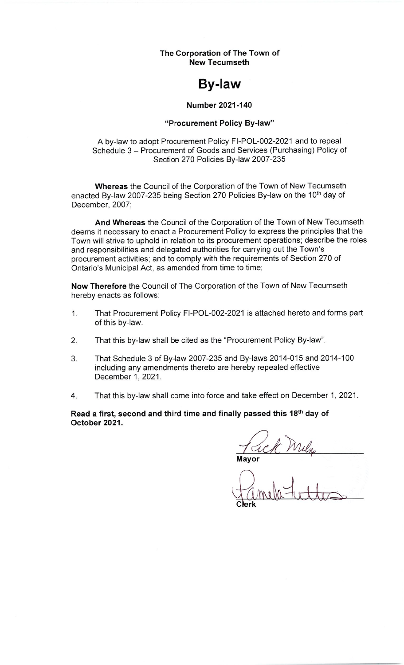The Corporation of The Town of **New Tecumseth** 

# **By-law**

#### **Number 2021-140**

#### "Procurement Policy By-law"

#### A by-law to adopt Procurement Policy FI-POL-002-2021 and to repeal Schedule 3 - Procurement of Goods and Services (Purchasing) Policy of Section 270 Policies By-law 2007-235

Whereas the Council of the Corporation of the Town of New Tecumseth enacted By-law 2007-235 being Section 270 Policies By-law on the 10<sup>th</sup> day of December, 2007;

And Whereas the Council of the Corporation of the Town of New Tecumseth deems it necessary to enact a Procurement Policy to express the principles that the Town will strive to uphold in relation to its procurement operations; describe the roles and responsibilities and delegated authorities for carrying out the Town's procurement activities; and to comply with the requirements of Section 270 of Ontario's Municipal Act, as amended from time to time;

Now Therefore the Council of The Corporation of the Town of New Tecumseth hereby enacts as follows:

- That Procurement Policy FI-POL-002-2021 is attached hereto and forms part  $1.$ of this by-law.
- That this by-law shall be cited as the "Procurement Policy By-law".  $2.$
- That Schedule 3 of By-law 2007-235 and By-laws 2014-015 and 2014-100 3. including any amendments thereto are hereby repealed effective December 1, 2021.
- That this by-law shall come into force and take effect on December 1, 2021.  $4.$

Read a first, second and third time and finally passed this 18th day of October 2021.

l Mila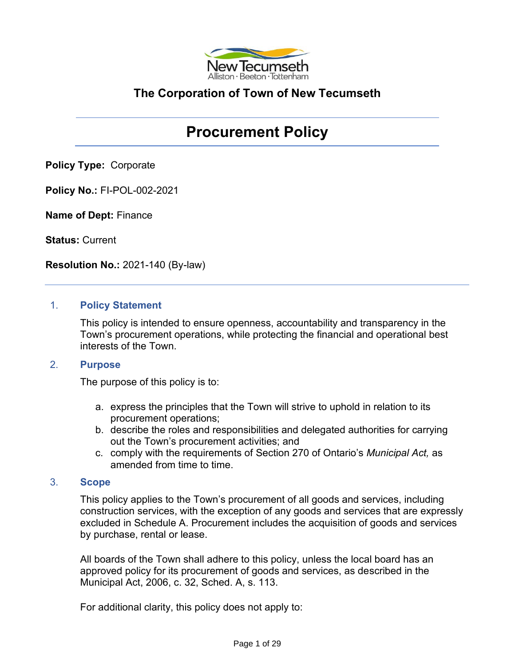

## **The Corporation of Town of New Tecumseth**

## **Procurement Policy**

**Policy Type:** Corporate

**Policy No.:** FI-POL-002-2021

**Name of Dept:** Finance

**Status:** Current

**Resolution No.:** 2021-140 (By-law)

#### 1. **Policy Statement**

This policy is intended to ensure openness, accountability and transparency in the Town's procurement operations, while protecting the financial and operational best interests of the Town.

#### 2. **Purpose**

The purpose of this policy is to:

- a. express the principles that the Town will strive to uphold in relation to its procurement operations;
- b. describe the roles and responsibilities and delegated authorities for carrying out the Town's procurement activities; and
- c. comply with the requirements of Section 270 of Ontario's *Municipal Act,* as amended from time to time.

## 3. **Scope**

This policy applies to the Town's procurement of all goods and services, including construction services, with the exception of any goods and services that are expressly excluded in Schedule A. Procurement includes the acquisition of goods and services by purchase, rental or lease.

All boards of the Town shall adhere to this policy, unless the local board has an approved policy for its procurement of goods and services, as described in the Municipal Act, 2006, c. 32, Sched. A, s. 113.

For additional clarity, this policy does not apply to: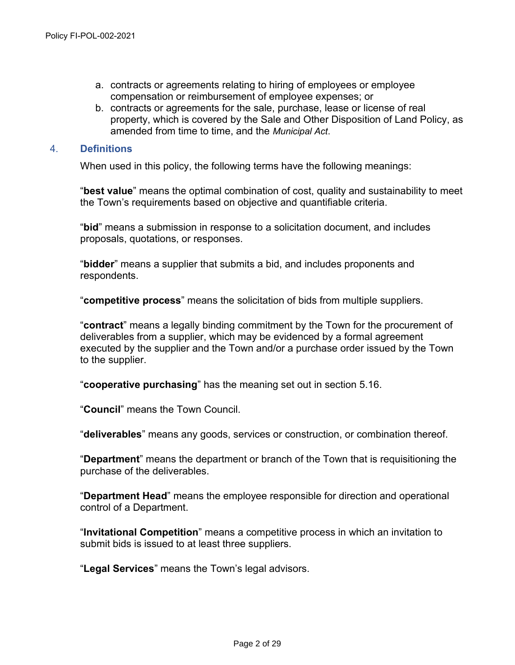- a. contracts or agreements relating to hiring of employees or employee compensation or reimbursement of employee expenses; or
- b. contracts or agreements for the sale, purchase, lease or license of real property, which is covered by the Sale and Other Disposition of Land Policy, as amended from time to time, and the *Municipal Act*.

#### 4. **Definitions**

When used in this policy, the following terms have the following meanings:

"**best value**" means the optimal combination of cost, quality and sustainability to meet the Town's requirements based on objective and quantifiable criteria.

"**bid**" means a submission in response to a solicitation document, and includes proposals, quotations, or responses.

"**bidder**" means a supplier that submits a bid, and includes proponents and respondents.

"**competitive process**" means the solicitation of bids from multiple suppliers.

"**contract**" means a legally binding commitment by the Town for the procurement of deliverables from a supplier, which may be evidenced by a formal agreement executed by the supplier and the Town and/or a purchase order issued by the Town to the supplier.

"**cooperative purchasing**" has the meaning set out in section 5.16.

"**Council**" means the Town Council.

"**deliverables**" means any goods, services or construction, or combination thereof.

"**Department**" means the department or branch of the Town that is requisitioning the purchase of the deliverables.

"**Department Head**" means the employee responsible for direction and operational control of a Department.

"**Invitational Competition**" means a competitive process in which an invitation to submit bids is issued to at least three suppliers.

"**Legal Services**" means the Town's legal advisors.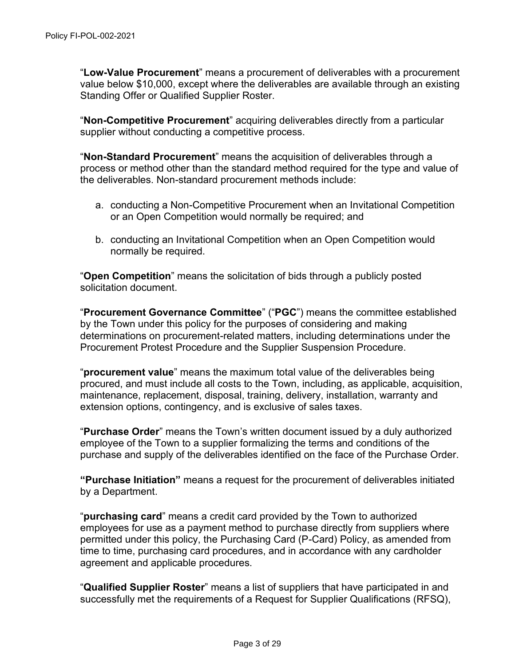"**Low-Value Procurement**" means a procurement of deliverables with a procurement value below \$10,000, except where the deliverables are available through an existing Standing Offer or Qualified Supplier Roster.

"**Non-Competitive Procurement**" acquiring deliverables directly from a particular supplier without conducting a competitive process.

"**Non-Standard Procurement**" means the acquisition of deliverables through a process or method other than the standard method required for the type and value of the deliverables. Non-standard procurement methods include:

- a. conducting a Non-Competitive Procurement when an Invitational Competition or an Open Competition would normally be required; and
- b. conducting an Invitational Competition when an Open Competition would normally be required.

"**Open Competition**" means the solicitation of bids through a publicly posted solicitation document.

"**Procurement Governance Committee**" ("**PGC**") means the committee established by the Town under this policy for the purposes of considering and making determinations on procurement-related matters, including determinations under the Procurement Protest Procedure and the Supplier Suspension Procedure.

"**procurement value**" means the maximum total value of the deliverables being procured, and must include all costs to the Town, including, as applicable, acquisition, maintenance, replacement, disposal, training, delivery, installation, warranty and extension options, contingency, and is exclusive of sales taxes.

"**Purchase Order**" means the Town's written document issued by a duly authorized employee of the Town to a supplier formalizing the terms and conditions of the purchase and supply of the deliverables identified on the face of the Purchase Order.

**"Purchase Initiation"** means a request for the procurement of deliverables initiated by a Department.

"**purchasing card**" means a credit card provided by the Town to authorized employees for use as a payment method to purchase directly from suppliers where permitted under this policy, the Purchasing Card (P-Card) Policy, as amended from time to time, purchasing card procedures, and in accordance with any cardholder agreement and applicable procedures.

"**Qualified Supplier Roster**" means a list of suppliers that have participated in and successfully met the requirements of a Request for Supplier Qualifications (RFSQ),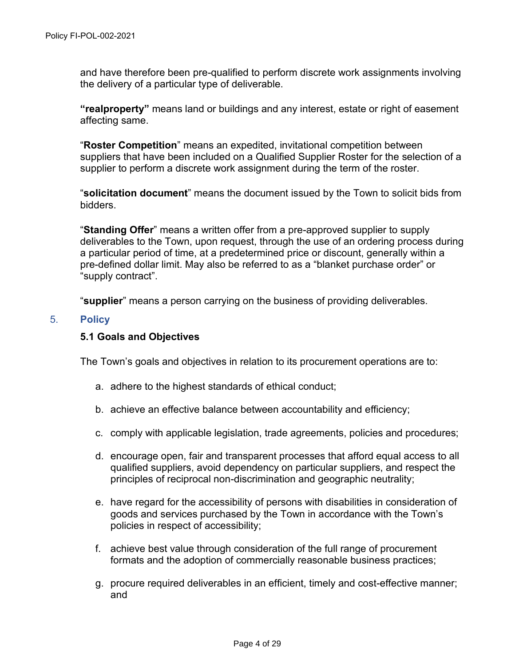and have therefore been pre-qualified to perform discrete work assignments involving the delivery of a particular type of deliverable.

**"realproperty"** means land or buildings and any interest, estate or right of easement affecting same.

"**Roster Competition**" means an expedited, invitational competition between suppliers that have been included on a Qualified Supplier Roster for the selection of a supplier to perform a discrete work assignment during the term of the roster.

"**solicitation document**" means the document issued by the Town to solicit bids from bidders.

"**Standing Offer**" means a written offer from a pre-approved supplier to supply deliverables to the Town, upon request, through the use of an ordering process during a particular period of time, at a predetermined price or discount, generally within a pre-defined dollar limit. May also be referred to as a "blanket purchase order" or "supply contract".

"**supplier**" means a person carrying on the business of providing deliverables.

#### 5. **Policy**

#### **5.1 Goals and Objectives**

The Town's goals and objectives in relation to its procurement operations are to:

- a. adhere to the highest standards of ethical conduct;
- b. achieve an effective balance between accountability and efficiency;
- c. comply with applicable legislation, trade agreements, policies and procedures;
- d. encourage open, fair and transparent processes that afford equal access to all qualified suppliers, avoid dependency on particular suppliers, and respect the principles of reciprocal non-discrimination and geographic neutrality;
- e. have regard for the accessibility of persons with disabilities in consideration of goods and services purchased by the Town in accordance with the Town's policies in respect of accessibility;
- f. achieve best value through consideration of the full range of procurement formats and the adoption of commercially reasonable business practices;
- g. procure required deliverables in an efficient, timely and cost-effective manner; and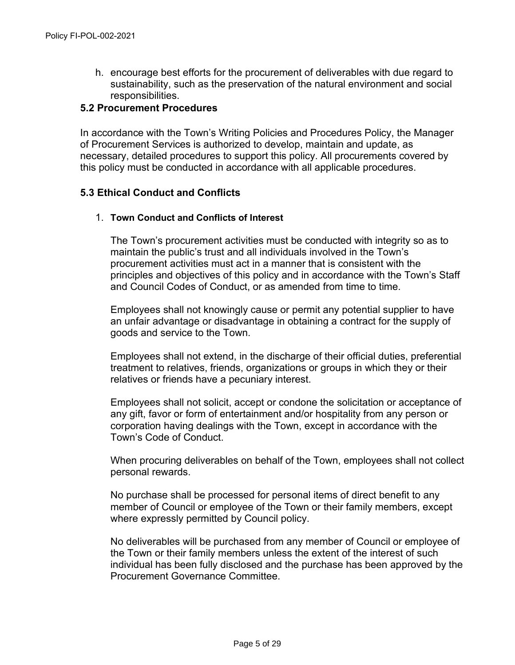h. encourage best efforts for the procurement of deliverables with due regard to sustainability, such as the preservation of the natural environment and social responsibilities.

#### **5.2 Procurement Procedures**

In accordance with the Town's Writing Policies and Procedures Policy, the Manager of Procurement Services is authorized to develop, maintain and update, as necessary, detailed procedures to support this policy. All procurements covered by this policy must be conducted in accordance with all applicable procedures.

#### **5.3 Ethical Conduct and Conflicts**

#### 1. **Town Conduct and Conflicts of Interest**

The Town's procurement activities must be conducted with integrity so as to maintain the public's trust and all individuals involved in the Town's procurement activities must act in a manner that is consistent with the principles and objectives of this policy and in accordance with the Town's Staff and Council Codes of Conduct, or as amended from time to time.

Employees shall not knowingly cause or permit any potential supplier to have an unfair advantage or disadvantage in obtaining a contract for the supply of goods and service to the Town.

Employees shall not extend, in the discharge of their official duties, preferential treatment to relatives, friends, organizations or groups in which they or their relatives or friends have a pecuniary interest.

Employees shall not solicit, accept or condone the solicitation or acceptance of any gift, favor or form of entertainment and/or hospitality from any person or corporation having dealings with the Town, except in accordance with the Town's Code of Conduct.

When procuring deliverables on behalf of the Town, employees shall not collect personal rewards.

No purchase shall be processed for personal items of direct benefit to any member of Council or employee of the Town or their family members, except where expressly permitted by Council policy.

No deliverables will be purchased from any member of Council or employee of the Town or their family members unless the extent of the interest of such individual has been fully disclosed and the purchase has been approved by the Procurement Governance Committee.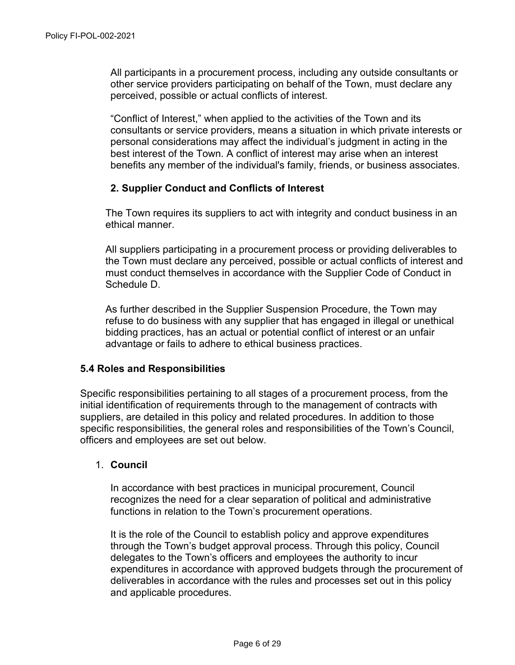All participants in a procurement process, including any outside consultants or other service providers participating on behalf of the Town, must declare any perceived, possible or actual conflicts of interest.

"Conflict of Interest," when applied to the activities of the Town and its consultants or service providers, means a situation in which private interests or personal considerations may affect the individual's judgment in acting in the best interest of the Town. A conflict of interest may arise when an interest benefits any member of the individual's family, friends, or business associates.

#### **2. Supplier Conduct and Conflicts of Interest**

The Town requires its suppliers to act with integrity and conduct business in an ethical manner.

All suppliers participating in a procurement process or providing deliverables to the Town must declare any perceived, possible or actual conflicts of interest and must conduct themselves in accordance with the Supplier Code of Conduct in Schedule D.

As further described in the Supplier Suspension Procedure, the Town may refuse to do business with any supplier that has engaged in illegal or unethical bidding practices, has an actual or potential conflict of interest or an unfair advantage or fails to adhere to ethical business practices.

#### **5.4 Roles and Responsibilities**

Specific responsibilities pertaining to all stages of a procurement process, from the initial identification of requirements through to the management of contracts with suppliers, are detailed in this policy and related procedures. In addition to those specific responsibilities, the general roles and responsibilities of the Town's Council, officers and employees are set out below.

#### 1. **Council**

In accordance with best practices in municipal procurement, Council recognizes the need for a clear separation of political and administrative functions in relation to the Town's procurement operations.

It is the role of the Council to establish policy and approve expenditures through the Town's budget approval process. Through this policy, Council delegates to the Town's officers and employees the authority to incur expenditures in accordance with approved budgets through the procurement of deliverables in accordance with the rules and processes set out in this policy and applicable procedures.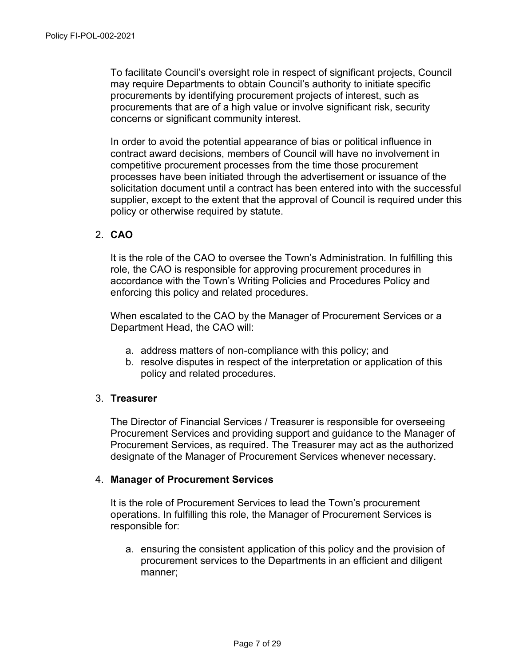To facilitate Council's oversight role in respect of significant projects, Council may require Departments to obtain Council's authority to initiate specific procurements by identifying procurement projects of interest, such as procurements that are of a high value or involve significant risk, security concerns or significant community interest.

In order to avoid the potential appearance of bias or political influence in contract award decisions, members of Council will have no involvement in competitive procurement processes from the time those procurement processes have been initiated through the advertisement or issuance of the solicitation document until a contract has been entered into with the successful supplier, except to the extent that the approval of Council is required under this policy or otherwise required by statute.

#### 2. **CAO**

It is the role of the CAO to oversee the Town's Administration. In fulfilling this role, the CAO is responsible for approving procurement procedures in accordance with the Town's Writing Policies and Procedures Policy and enforcing this policy and related procedures.

When escalated to the CAO by the Manager of Procurement Services or a Department Head, the CAO will:

- a. address matters of non-compliance with this policy; and
- b. resolve disputes in respect of the interpretation or application of this policy and related procedures.

#### 3. **Treasurer**

The Director of Financial Services / Treasurer is responsible for overseeing Procurement Services and providing support and guidance to the Manager of Procurement Services, as required. The Treasurer may act as the authorized designate of the Manager of Procurement Services whenever necessary.

#### 4. **Manager of Procurement Services**

It is the role of Procurement Services to lead the Town's procurement operations. In fulfilling this role, the Manager of Procurement Services is responsible for:

a. ensuring the consistent application of this policy and the provision of procurement services to the Departments in an efficient and diligent manner;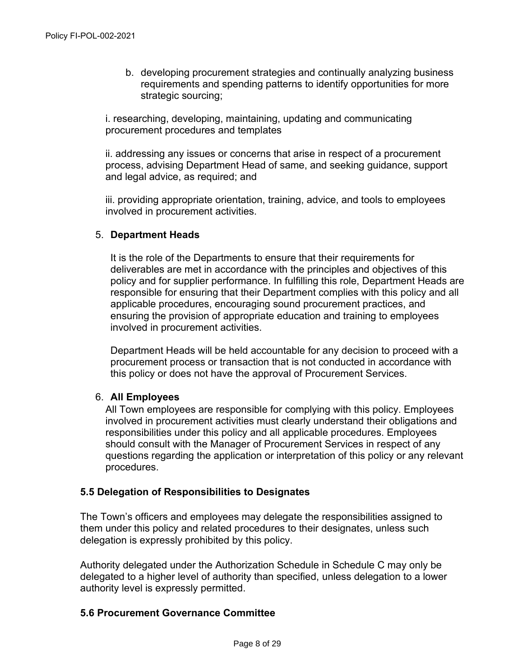b. developing procurement strategies and continually analyzing business requirements and spending patterns to identify opportunities for more strategic sourcing;

i. researching, developing, maintaining, updating and communicating procurement procedures and templates

ii. addressing any issues or concerns that arise in respect of a procurement process, advising Department Head of same, and seeking guidance, support and legal advice, as required; and

iii. providing appropriate orientation, training, advice, and tools to employees involved in procurement activities.

## 5. **Department Heads**

It is the role of the Departments to ensure that their requirements for deliverables are met in accordance with the principles and objectives of this policy and for supplier performance. In fulfilling this role, Department Heads are responsible for ensuring that their Department complies with this policy and all applicable procedures, encouraging sound procurement practices, and ensuring the provision of appropriate education and training to employees involved in procurement activities.

Department Heads will be held accountable for any decision to proceed with a procurement process or transaction that is not conducted in accordance with this policy or does not have the approval of Procurement Services.

#### 6. **All Employees**

All Town employees are responsible for complying with this policy. Employees involved in procurement activities must clearly understand their obligations and responsibilities under this policy and all applicable procedures. Employees should consult with the Manager of Procurement Services in respect of any questions regarding the application or interpretation of this policy or any relevant procedures.

## **5.5 Delegation of Responsibilities to Designates**

The Town's officers and employees may delegate the responsibilities assigned to them under this policy and related procedures to their designates, unless such delegation is expressly prohibited by this policy.

Authority delegated under the Authorization Schedule in Schedule C may only be delegated to a higher level of authority than specified, unless delegation to a lower authority level is expressly permitted.

#### **5.6 Procurement Governance Committee**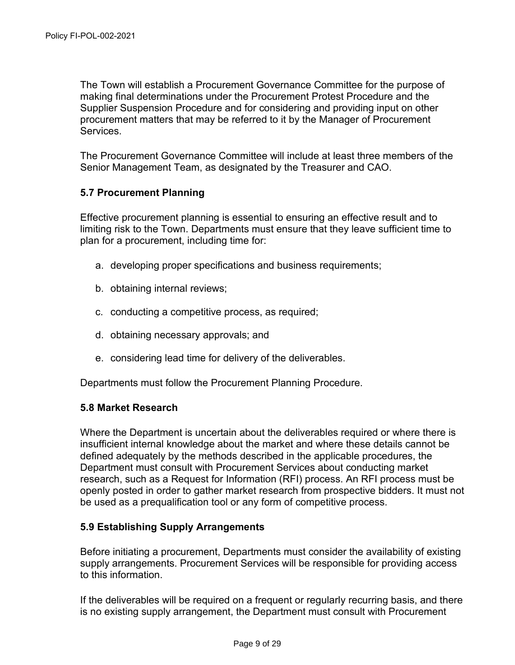The Town will establish a Procurement Governance Committee for the purpose of making final determinations under the Procurement Protest Procedure and the Supplier Suspension Procedure and for considering and providing input on other procurement matters that may be referred to it by the Manager of Procurement **Services** 

The Procurement Governance Committee will include at least three members of the Senior Management Team, as designated by the Treasurer and CAO.

## **5.7 Procurement Planning**

Effective procurement planning is essential to ensuring an effective result and to limiting risk to the Town. Departments must ensure that they leave sufficient time to plan for a procurement, including time for:

- a. developing proper specifications and business requirements;
- b. obtaining internal reviews;
- c. conducting a competitive process, as required;
- d. obtaining necessary approvals; and
- e. considering lead time for delivery of the deliverables.

Departments must follow the Procurement Planning Procedure.

#### **5.8 Market Research**

Where the Department is uncertain about the deliverables required or where there is insufficient internal knowledge about the market and where these details cannot be defined adequately by the methods described in the applicable procedures, the Department must consult with Procurement Services about conducting market research, such as a Request for Information (RFI) process. An RFI process must be openly posted in order to gather market research from prospective bidders. It must not be used as a prequalification tool or any form of competitive process.

## **5.9 Establishing Supply Arrangements**

Before initiating a procurement, Departments must consider the availability of existing supply arrangements. Procurement Services will be responsible for providing access to this information.

If the deliverables will be required on a frequent or regularly recurring basis, and there is no existing supply arrangement, the Department must consult with Procurement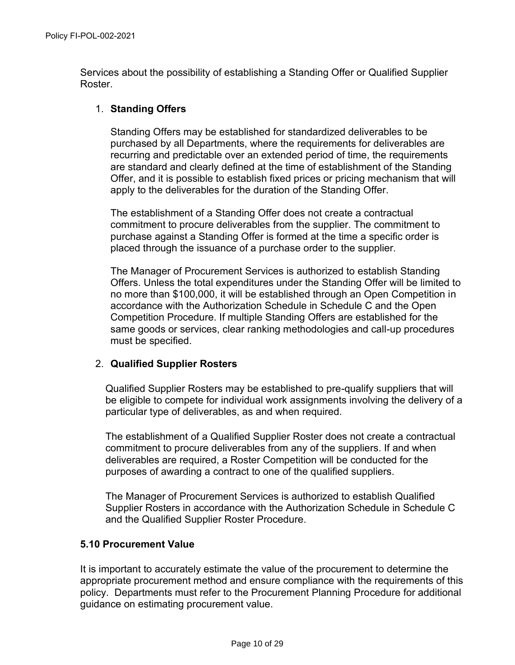Services about the possibility of establishing a Standing Offer or Qualified Supplier Roster.

#### 1. **Standing Offers**

Standing Offers may be established for standardized deliverables to be purchased by all Departments, where the requirements for deliverables are recurring and predictable over an extended period of time, the requirements are standard and clearly defined at the time of establishment of the Standing Offer, and it is possible to establish fixed prices or pricing mechanism that will apply to the deliverables for the duration of the Standing Offer.

The establishment of a Standing Offer does not create a contractual commitment to procure deliverables from the supplier. The commitment to purchase against a Standing Offer is formed at the time a specific order is placed through the issuance of a purchase order to the supplier.

The Manager of Procurement Services is authorized to establish Standing Offers. Unless the total expenditures under the Standing Offer will be limited to no more than \$100,000, it will be established through an Open Competition in accordance with the Authorization Schedule in Schedule C and the Open Competition Procedure. If multiple Standing Offers are established for the same goods or services, clear ranking methodologies and call-up procedures must be specified.

## 2. **Qualified Supplier Rosters**

Qualified Supplier Rosters may be established to pre-qualify suppliers that will be eligible to compete for individual work assignments involving the delivery of a particular type of deliverables, as and when required.

The establishment of a Qualified Supplier Roster does not create a contractual commitment to procure deliverables from any of the suppliers. If and when deliverables are required, a Roster Competition will be conducted for the purposes of awarding a contract to one of the qualified suppliers.

The Manager of Procurement Services is authorized to establish Qualified Supplier Rosters in accordance with the Authorization Schedule in Schedule C and the Qualified Supplier Roster Procedure.

#### **5.10 Procurement Value**

It is important to accurately estimate the value of the procurement to determine the appropriate procurement method and ensure compliance with the requirements of this policy. Departments must refer to the Procurement Planning Procedure for additional guidance on estimating procurement value.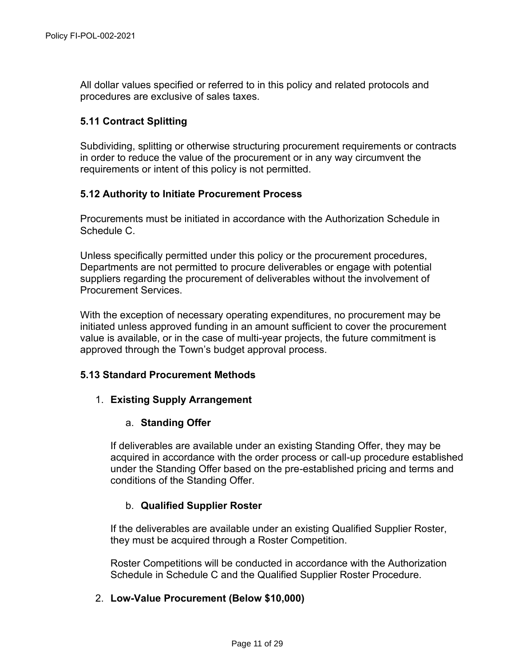All dollar values specified or referred to in this policy and related protocols and procedures are exclusive of sales taxes.

## **5.11 Contract Splitting**

Subdividing, splitting or otherwise structuring procurement requirements or contracts in order to reduce the value of the procurement or in any way circumvent the requirements or intent of this policy is not permitted.

#### **5.12 Authority to Initiate Procurement Process**

Procurements must be initiated in accordance with the Authorization Schedule in Schedule C.

Unless specifically permitted under this policy or the procurement procedures, Departments are not permitted to procure deliverables or engage with potential suppliers regarding the procurement of deliverables without the involvement of Procurement Services.

With the exception of necessary operating expenditures, no procurement may be initiated unless approved funding in an amount sufficient to cover the procurement value is available, or in the case of multi-year projects, the future commitment is approved through the Town's budget approval process.

## **5.13 Standard Procurement Methods**

## 1. **Existing Supply Arrangement**

#### a. **Standing Offer**

If deliverables are available under an existing Standing Offer, they may be acquired in accordance with the order process or call-up procedure established under the Standing Offer based on the pre-established pricing and terms and conditions of the Standing Offer.

## b. **Qualified Supplier Roster**

If the deliverables are available under an existing Qualified Supplier Roster, they must be acquired through a Roster Competition.

Roster Competitions will be conducted in accordance with the Authorization Schedule in Schedule C and the Qualified Supplier Roster Procedure.

## 2. **Low-Value Procurement (Below \$10,000)**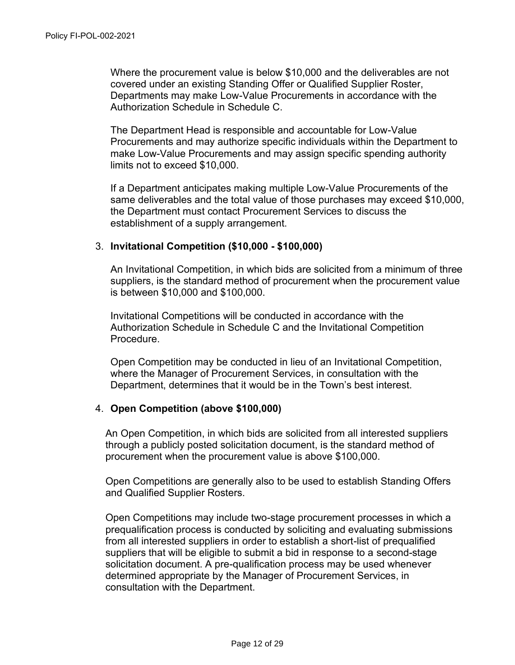Where the procurement value is below \$10,000 and the deliverables are not covered under an existing Standing Offer or Qualified Supplier Roster, Departments may make Low-Value Procurements in accordance with the Authorization Schedule in Schedule C.

The Department Head is responsible and accountable for Low-Value Procurements and may authorize specific individuals within the Department to make Low-Value Procurements and may assign specific spending authority limits not to exceed \$10,000.

If a Department anticipates making multiple Low-Value Procurements of the same deliverables and the total value of those purchases may exceed \$10,000, the Department must contact Procurement Services to discuss the establishment of a supply arrangement.

#### 3. **Invitational Competition (\$10,000 - \$100,000)**

An Invitational Competition, in which bids are solicited from a minimum of three suppliers, is the standard method of procurement when the procurement value is between \$10,000 and \$100,000.

Invitational Competitions will be conducted in accordance with the Authorization Schedule in Schedule C and the Invitational Competition Procedure.

Open Competition may be conducted in lieu of an Invitational Competition, where the Manager of Procurement Services, in consultation with the Department, determines that it would be in the Town's best interest.

#### 4. **Open Competition (above \$100,000)**

An Open Competition, in which bids are solicited from all interested suppliers through a publicly posted solicitation document, is the standard method of procurement when the procurement value is above \$100,000.

Open Competitions are generally also to be used to establish Standing Offers and Qualified Supplier Rosters.

Open Competitions may include two-stage procurement processes in which a prequalification process is conducted by soliciting and evaluating submissions from all interested suppliers in order to establish a short-list of prequalified suppliers that will be eligible to submit a bid in response to a second-stage solicitation document. A pre-qualification process may be used whenever determined appropriate by the Manager of Procurement Services, in consultation with the Department.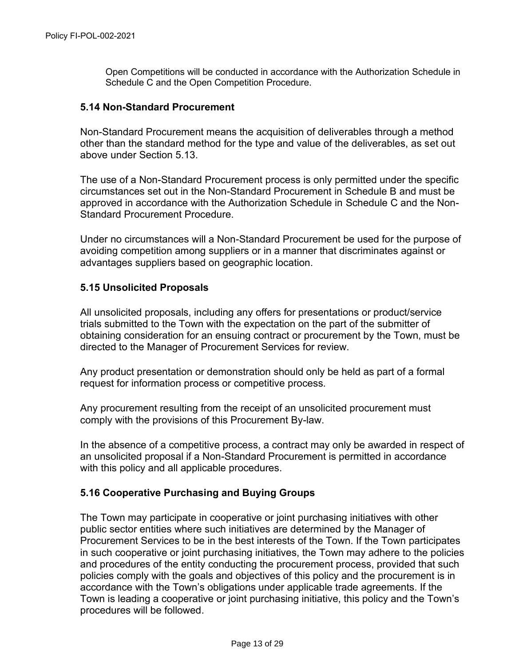Open Competitions will be conducted in accordance with the Authorization Schedule in Schedule C and the Open Competition Procedure.

#### **5.14 Non-Standard Procurement**

Non-Standard Procurement means the acquisition of deliverables through a method other than the standard method for the type and value of the deliverables, as set out above under Section 5.13.

The use of a Non-Standard Procurement process is only permitted under the specific circumstances set out in the Non-Standard Procurement in Schedule B and must be approved in accordance with the Authorization Schedule in Schedule C and the Non-Standard Procurement Procedure.

Under no circumstances will a Non-Standard Procurement be used for the purpose of avoiding competition among suppliers or in a manner that discriminates against or advantages suppliers based on geographic location.

## **5.15 Unsolicited Proposals**

All unsolicited proposals, including any offers for presentations or product/service trials submitted to the Town with the expectation on the part of the submitter of obtaining consideration for an ensuing contract or procurement by the Town, must be directed to the Manager of Procurement Services for review.

Any product presentation or demonstration should only be held as part of a formal request for information process or competitive process.

Any procurement resulting from the receipt of an unsolicited procurement must comply with the provisions of this Procurement By-law.

In the absence of a competitive process, a contract may only be awarded in respect of an unsolicited proposal if a Non-Standard Procurement is permitted in accordance with this policy and all applicable procedures.

## **5.16 Cooperative Purchasing and Buying Groups**

The Town may participate in cooperative or joint purchasing initiatives with other public sector entities where such initiatives are determined by the Manager of Procurement Services to be in the best interests of the Town. If the Town participates in such cooperative or joint purchasing initiatives, the Town may adhere to the policies and procedures of the entity conducting the procurement process, provided that such policies comply with the goals and objectives of this policy and the procurement is in accordance with the Town's obligations under applicable trade agreements. If the Town is leading a cooperative or joint purchasing initiative, this policy and the Town's procedures will be followed.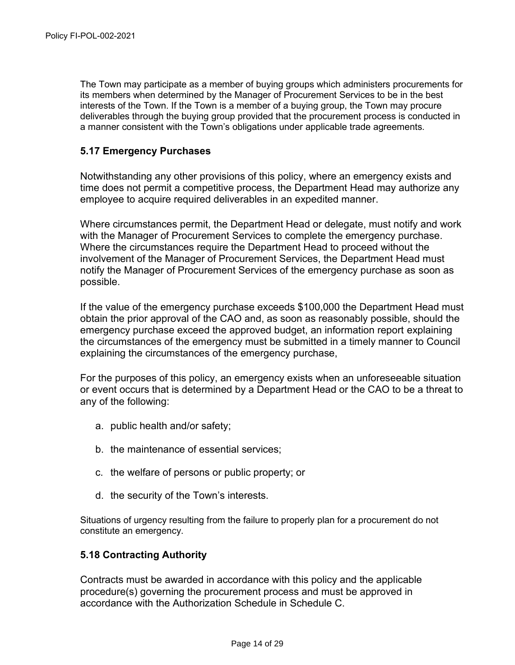The Town may participate as a member of buying groups which administers procurements for its members when determined by the Manager of Procurement Services to be in the best interests of the Town. If the Town is a member of a buying group, the Town may procure deliverables through the buying group provided that the procurement process is conducted in a manner consistent with the Town's obligations under applicable trade agreements.

## **5.17 Emergency Purchases**

Notwithstanding any other provisions of this policy, where an emergency exists and time does not permit a competitive process, the Department Head may authorize any employee to acquire required deliverables in an expedited manner.

Where circumstances permit, the Department Head or delegate, must notify and work with the Manager of Procurement Services to complete the emergency purchase. Where the circumstances require the Department Head to proceed without the involvement of the Manager of Procurement Services, the Department Head must notify the Manager of Procurement Services of the emergency purchase as soon as possible.

If the value of the emergency purchase exceeds \$100,000 the Department Head must obtain the prior approval of the CAO and, as soon as reasonably possible, should the emergency purchase exceed the approved budget, an information report explaining the circumstances of the emergency must be submitted in a timely manner to Council explaining the circumstances of the emergency purchase,

For the purposes of this policy, an emergency exists when an unforeseeable situation or event occurs that is determined by a Department Head or the CAO to be a threat to any of the following:

- a. public health and/or safety;
- b. the maintenance of essential services;
- c. the welfare of persons or public property; or
- d. the security of the Town's interests.

Situations of urgency resulting from the failure to properly plan for a procurement do not constitute an emergency.

## **5.18 Contracting Authority**

Contracts must be awarded in accordance with this policy and the applicable procedure(s) governing the procurement process and must be approved in accordance with the Authorization Schedule in Schedule C.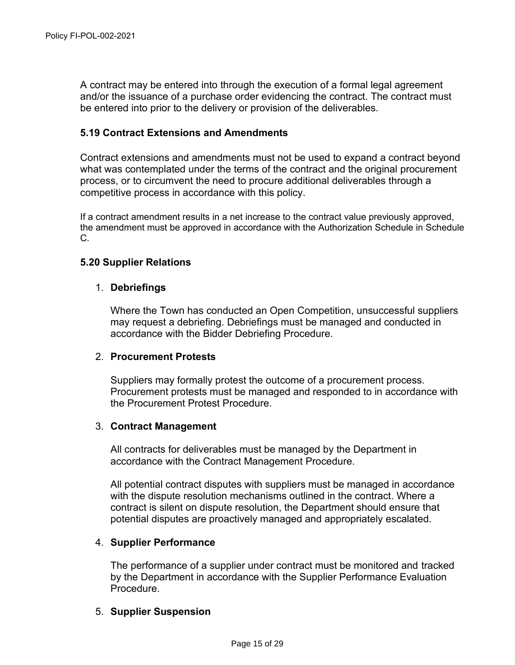A contract may be entered into through the execution of a formal legal agreement and/or the issuance of a purchase order evidencing the contract. The contract must be entered into prior to the delivery or provision of the deliverables.

#### **5.19 Contract Extensions and Amendments**

Contract extensions and amendments must not be used to expand a contract beyond what was contemplated under the terms of the contract and the original procurement process, or to circumvent the need to procure additional deliverables through a competitive process in accordance with this policy.

If a contract amendment results in a net increase to the contract value previously approved, the amendment must be approved in accordance with the Authorization Schedule in Schedule C.

#### **5.20 Supplier Relations**

#### 1. **Debriefings**

Where the Town has conducted an Open Competition, unsuccessful suppliers may request a debriefing. Debriefings must be managed and conducted in accordance with the Bidder Debriefing Procedure.

#### 2. **Procurement Protests**

Suppliers may formally protest the outcome of a procurement process. Procurement protests must be managed and responded to in accordance with the Procurement Protest Procedure.

#### 3. **Contract Management**

All contracts for deliverables must be managed by the Department in accordance with the Contract Management Procedure.

All potential contract disputes with suppliers must be managed in accordance with the dispute resolution mechanisms outlined in the contract. Where a contract is silent on dispute resolution, the Department should ensure that potential disputes are proactively managed and appropriately escalated.

#### 4. **Supplier Performance**

The performance of a supplier under contract must be monitored and tracked by the Department in accordance with the Supplier Performance Evaluation Procedure.

#### 5. **Supplier Suspension**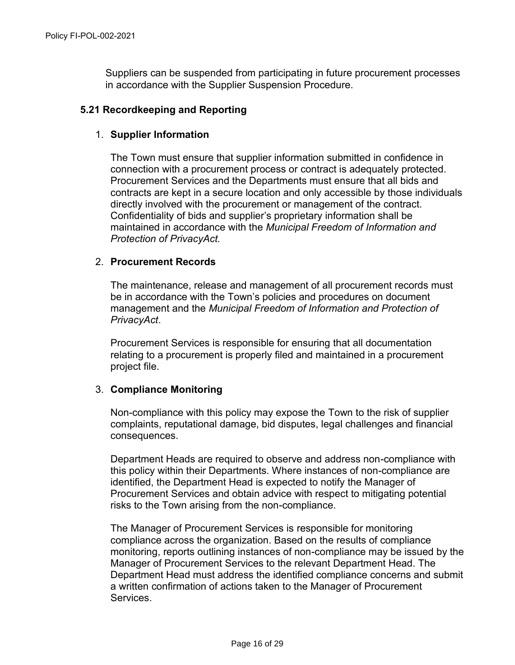Suppliers can be suspended from participating in future procurement processes in accordance with the Supplier Suspension Procedure.

#### **5.21 Recordkeeping and Reporting**

#### 1. **Supplier Information**

The Town must ensure that supplier information submitted in confidence in connection with a procurement process or contract is adequately protected. Procurement Services and the Departments must ensure that all bids and contracts are kept in a secure location and only accessible by those individuals directly involved with the procurement or management of the contract. Confidentiality of bids and supplier's proprietary information shall be maintained in accordance with the *Municipal Freedom of Information and Protection of PrivacyAct.*

#### 2. **Procurement Records**

The maintenance, release and management of all procurement records must be in accordance with the Town's policies and procedures on document management and the *Municipal Freedom of Information and Protection of PrivacyAct*.

Procurement Services is responsible for ensuring that all documentation relating to a procurement is properly filed and maintained in a procurement project file.

#### 3. **Compliance Monitoring**

Non-compliance with this policy may expose the Town to the risk of supplier complaints, reputational damage, bid disputes, legal challenges and financial consequences.

Department Heads are required to observe and address non-compliance with this policy within their Departments. Where instances of non-compliance are identified, the Department Head is expected to notify the Manager of Procurement Services and obtain advice with respect to mitigating potential risks to the Town arising from the non-compliance.

The Manager of Procurement Services is responsible for monitoring compliance across the organization. Based on the results of compliance monitoring, reports outlining instances of non-compliance may be issued by the Manager of Procurement Services to the relevant Department Head. The Department Head must address the identified compliance concerns and submit a written confirmation of actions taken to the Manager of Procurement Services.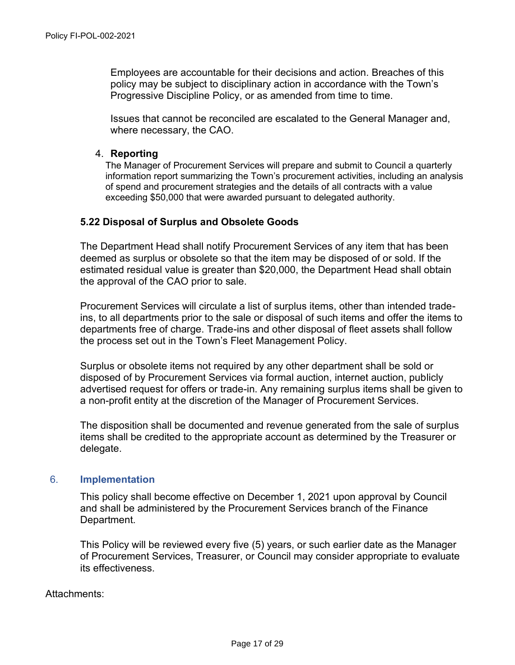Employees are accountable for their decisions and action. Breaches of this policy may be subject to disciplinary action in accordance with the Town's Progressive Discipline Policy, or as amended from time to time.

Issues that cannot be reconciled are escalated to the General Manager and, where necessary, the CAO.

#### 4. **Reporting**

The Manager of Procurement Services will prepare and submit to Council a quarterly information report summarizing the Town's procurement activities, including an analysis of spend and procurement strategies and the details of all contracts with a value exceeding \$50,000 that were awarded pursuant to delegated authority.

#### **5.22 Disposal of Surplus and Obsolete Goods**

The Department Head shall notify Procurement Services of any item that has been deemed as surplus or obsolete so that the item may be disposed of or sold. If the estimated residual value is greater than \$20,000, the Department Head shall obtain the approval of the CAO prior to sale.

Procurement Services will circulate a list of surplus items, other than intended tradeins, to all departments prior to the sale or disposal of such items and offer the items to departments free of charge. Trade-ins and other disposal of fleet assets shall follow the process set out in the Town's Fleet Management Policy.

Surplus or obsolete items not required by any other department shall be sold or disposed of by Procurement Services via formal auction, internet auction, publicly advertised request for offers or trade-in. Any remaining surplus items shall be given to a non-profit entity at the discretion of the Manager of Procurement Services.

The disposition shall be documented and revenue generated from the sale of surplus items shall be credited to the appropriate account as determined by the Treasurer or delegate.

#### 6. **Implementation**

This policy shall become effective on December 1, 2021 upon approval by Council and shall be administered by the Procurement Services branch of the Finance Department.

This Policy will be reviewed every five (5) years, or such earlier date as the Manager of Procurement Services, Treasurer, or Council may consider appropriate to evaluate its effectiveness.

Attachments: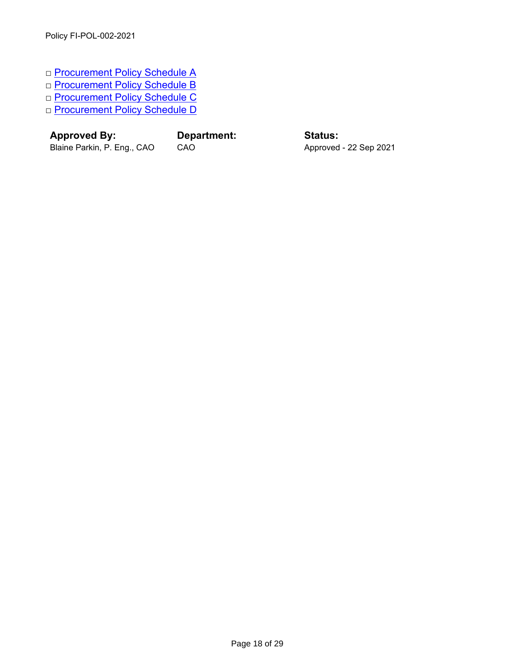- □ [Procurement Policy Schedule A](#page-19-0)
- □ [Procurement Policy Schedule B](#page-21-0)
- □ [Procurement Policy Schedule C](#page-23-0)
- □ [Procurement Policy Schedule D](#page-28-0)

**Approved By: Department: Status:**

Blaine Parkin, P. Eng., CAO CAO CAO Approved - 22 Sep 2021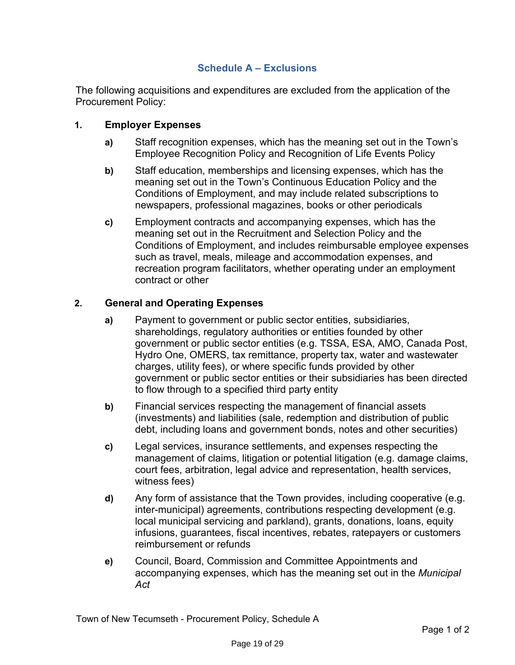## **Schedule A – Exclusions**

<span id="page-19-0"></span>The following acquisitions and expenditures are excluded from the application of the Procurement Policy:

## **1. Employer Expenses**

- **a)** Staff recognition expenses, which has the meaning set out in the Town's Employee Recognition Policy and Recognition of Life Events Policy
- **b)** Staff education, memberships and licensing expenses, which has the meaning set out in the Town's Continuous Education Policy and the Conditions of Employment, and may include related subscriptions to newspapers, professional magazines, books or other periodicals
- **c)** Employment contracts and accompanying expenses, which has the meaning set out in the Recruitment and Selection Policy and the Conditions of Employment, and includes reimbursable employee expenses such as travel, meals, mileage and accommodation expenses, and recreation program facilitators, whether operating under an employment contract or other

## **2. General and Operating Expenses**

- **a)** Payment to government or public sector entities, subsidiaries, shareholdings, regulatory authorities or entities founded by other government or public sector entities (e.g. TSSA, ESA, AMO, Canada Post, Hydro One, OMERS, tax remittance, property tax, water and wastewater charges, utility fees), or where specific funds provided by other government or public sector entities or their subsidiaries has been directed to flow through to a specified third party entity
- **b)** Financial services respecting the management of financial assets (investments) and liabilities (sale, redemption and distribution of public debt, including loans and government bonds, notes and other securities)
- **c)** Legal services, insurance settlements, and expenses respecting the management of claims, litigation or potential litigation (e.g. damage claims, court fees, arbitration, legal advice and representation, health services, witness fees)
- **d)** Any form of assistance that the Town provides, including cooperative (e.g. inter-municipal) agreements, contributions respecting development (e.g. local municipal servicing and parkland), grants, donations, loans, equity infusions, guarantees, fiscal incentives, rebates, ratepayers or customers reimbursement or refunds
- **e)** Council, Board, Commission and Committee Appointments and accompanying expenses, which has the meaning set out in the *Municipal Act*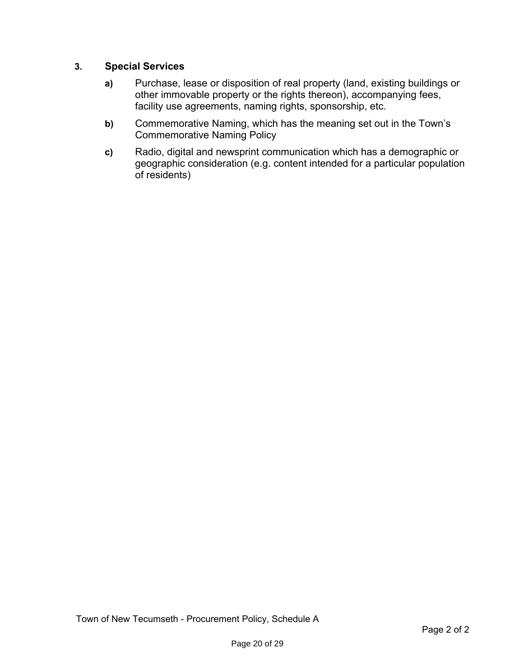## **3. Special Services**

- **a)** Purchase, lease or disposition of real property (land, existing buildings or other immovable property or the rights thereon), accompanying fees, facility use agreements, naming rights, sponsorship, etc.
- **b)** Commemorative Naming, which has the meaning set out in the Town's Commemorative Naming Policy
- **c)** Radio, digital and newsprint communication which has a demographic or geographic consideration (e.g. content intended for a particular population of residents)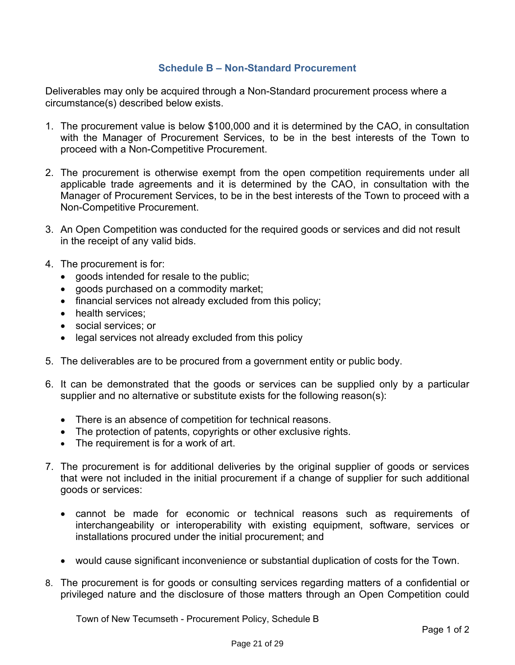## **Schedule B – Non-Standard Procurement**

<span id="page-21-0"></span>Deliverables may only be acquired through a Non-Standard procurement process where a circumstance(s) described below exists.

- 1. The procurement value is below \$100,000 and it is determined by the CAO, in consultation with the Manager of Procurement Services, to be in the best interests of the Town to proceed with a Non-Competitive Procurement.
- 2. The procurement is otherwise exempt from the open competition requirements under all applicable trade agreements and it is determined by the CAO, in consultation with the Manager of Procurement Services, to be in the best interests of the Town to proceed with a Non-Competitive Procurement.
- 3. An Open Competition was conducted for the required goods or services and did not result in the receipt of any valid bids.
- 4. The procurement is for:
	- goods intended for resale to the public;
	- goods purchased on a commodity market;
	- financial services not already excluded from this policy;
	- health services;
	- social services; or
	- legal services not already excluded from this policy
- 5. The deliverables are to be procured from a government entity or public body.
- 6. It can be demonstrated that the goods or services can be supplied only by a particular supplier and no alternative or substitute exists for the following reason(s):
	- There is an absence of competition for technical reasons.
	- The protection of patents, copyrights or other exclusive rights.
	- The requirement is for a work of art.
- 7. The procurement is for additional deliveries by the original supplier of goods or services that were not included in the initial procurement if a change of supplier for such additional goods or services:
	- cannot be made for economic or technical reasons such as requirements of interchangeability or interoperability with existing equipment, software, services or installations procured under the initial procurement; and
	- would cause significant inconvenience or substantial duplication of costs for the Town.
- 8. The procurement is for goods or consulting services regarding matters of a confidential or privileged nature and the disclosure of those matters through an Open Competition could

Town of New Tecumseth - Procurement Policy, Schedule B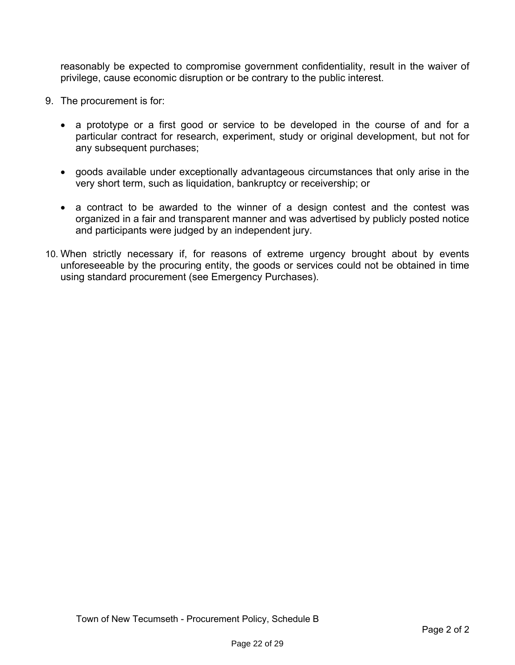reasonably be expected to compromise government confidentiality, result in the waiver of privilege, cause economic disruption or be contrary to the public interest.

- 9. The procurement is for:
	- a prototype or a first good or service to be developed in the course of and for a particular contract for research, experiment, study or original development, but not for any subsequent purchases;
	- goods available under exceptionally advantageous circumstances that only arise in the very short term, such as liquidation, bankruptcy or receivership; or
	- a contract to be awarded to the winner of a design contest and the contest was organized in a fair and transparent manner and was advertised by publicly posted notice and participants were judged by an independent jury.
- 10. When strictly necessary if, for reasons of extreme urgency brought about by events unforeseeable by the procuring entity, the goods or services could not be obtained in time using standard procurement (see Emergency Purchases).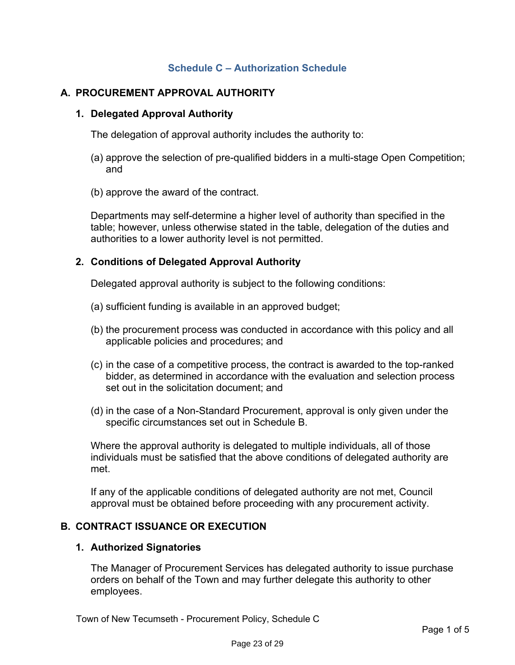## **Schedule C – Authorization Schedule**

## <span id="page-23-0"></span>**A. PROCUREMENT APPROVAL AUTHORITY**

#### **1. Delegated Approval Authority**

The delegation of approval authority includes the authority to:

- (a) approve the selection of pre-qualified bidders in a multi-stage Open Competition; and
- (b) approve the award of the contract.

Departments may self-determine a higher level of authority than specified in the table; however, unless otherwise stated in the table, delegation of the duties and authorities to a lower authority level is not permitted.

## **2. Conditions of Delegated Approval Authority**

Delegated approval authority is subject to the following conditions:

- (a) sufficient funding is available in an approved budget;
- (b) the procurement process was conducted in accordance with this policy and all applicable policies and procedures; and
- (c) in the case of a competitive process, the contract is awarded to the top-ranked bidder, as determined in accordance with the evaluation and selection process set out in the solicitation document; and
- (d) in the case of a Non-Standard Procurement, approval is only given under the specific circumstances set out in Schedule B.

Where the approval authority is delegated to multiple individuals, all of those individuals must be satisfied that the above conditions of delegated authority are met.

If any of the applicable conditions of delegated authority are not met, Council approval must be obtained before proceeding with any procurement activity.

## **B. CONTRACT ISSUANCE OR EXECUTION**

#### **1. Authorized Signatories**

The Manager of Procurement Services has delegated authority to issue purchase orders on behalf of the Town and may further delegate this authority to other employees.

Town of New Tecumseth - Procurement Policy, Schedule C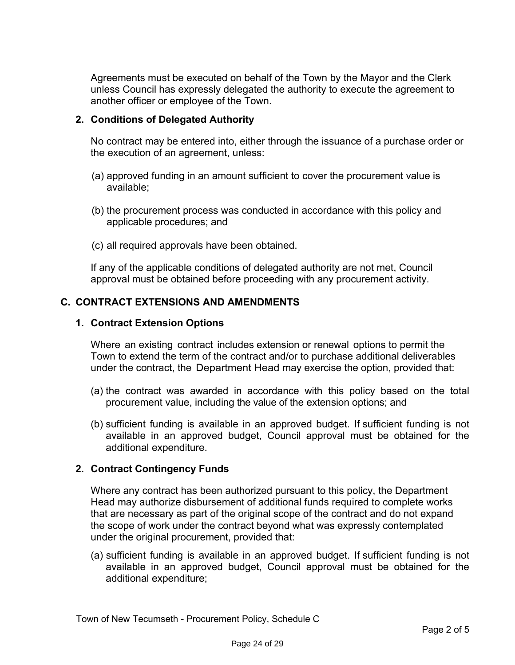Agreements must be executed on behalf of the Town by the Mayor and the Clerk unless Council has expressly delegated the authority to execute the agreement to another officer or employee of the Town.

## **2. Conditions of Delegated Authority**

No contract may be entered into, either through the issuance of a purchase order or the execution of an agreement, unless:

- (a) approved funding in an amount sufficient to cover the procurement value is available;
- (b) the procurement process was conducted in accordance with this policy and applicable procedures; and
- (c) all required approvals have been obtained.

If any of the applicable conditions of delegated authority are not met, Council approval must be obtained before proceeding with any procurement activity.

## **C. CONTRACT EXTENSIONS AND AMENDMENTS**

#### **1. Contract Extension Options**

Where an existing contract includes extension or renewal options to permit the Town to extend the term of the contract and/or to purchase additional deliverables under the contract, the Department Head may exercise the option, provided that:

- (a) the contract was awarded in accordance with this policy based on the total procurement value, including the value of the extension options; and
- (b) sufficient funding is available in an approved budget. If sufficient funding is not available in an approved budget, Council approval must be obtained for the additional expenditure.

## **2. Contract Contingency Funds**

Where any contract has been authorized pursuant to this policy, the Department Head may authorize disbursement of additional funds required to complete works that are necessary as part of the original scope of the contract and do not expand the scope of work under the contract beyond what was expressly contemplated under the original procurement, provided that:

(a) sufficient funding is available in an approved budget. If sufficient funding is not available in an approved budget, Council approval must be obtained for the additional expenditure;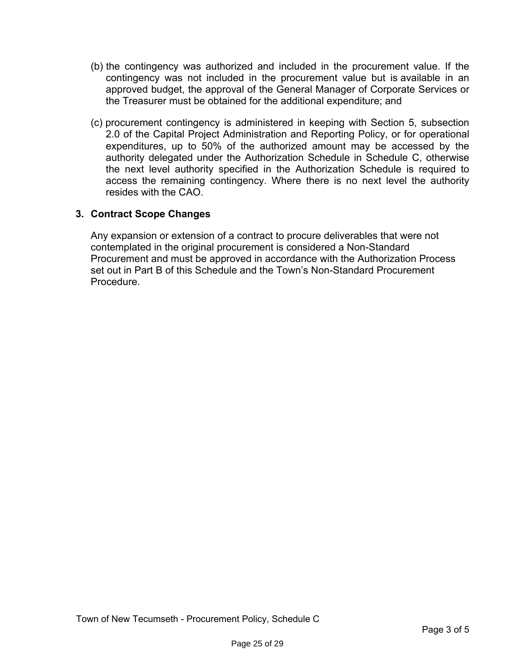- (b) the contingency was authorized and included in the procurement value. If the contingency was not included in the procurement value but is available in an approved budget, the approval of the General Manager of Corporate Services or the Treasurer must be obtained for the additional expenditure; and
- (c) procurement contingency is administered in keeping with Section 5, subsection 2.0 of the Capital Project Administration and Reporting Policy, or for operational expenditures, up to 50% of the authorized amount may be accessed by the authority delegated under the Authorization Schedule in Schedule C, otherwise the next level authority specified in the Authorization Schedule is required to access the remaining contingency. Where there is no next level the authority resides with the CAO.

## **3. Contract Scope Changes**

Any expansion or extension of a contract to procure deliverables that were not contemplated in the original procurement is considered a Non-Standard Procurement and must be approved in accordance with the Authorization Process set out in Part B of this Schedule and the Town's Non-Standard Procurement Procedure.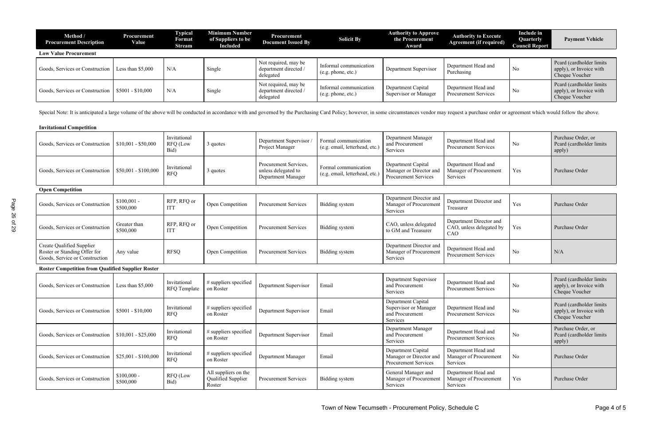| Method /<br><b>Procurement Description</b>          | <b>Procurement</b><br>Value | <b>Typical</b><br>Format<br>Stream | Minimum Number<br>of Suppliers to be<br><b>Included</b> | Procurement<br><b>Document Issued By</b>                   | <b>Solicit By</b>                            | <b>Authority to Approve</b><br>the Procurement<br>Award | <b>Authority to Execute</b><br><b>Agreement (if required)</b> | <b>Include in</b><br>Quarterly<br><b>Council Report</b> | <b>Payment Vehicle</b>                                                |
|-----------------------------------------------------|-----------------------------|------------------------------------|---------------------------------------------------------|------------------------------------------------------------|----------------------------------------------|---------------------------------------------------------|---------------------------------------------------------------|---------------------------------------------------------|-----------------------------------------------------------------------|
| <b>Low Value Procurement</b>                        |                             |                                    |                                                         |                                                            |                                              |                                                         |                                                               |                                                         |                                                                       |
| Goods, Services or Construction   Less than \$5,000 |                             | N/A                                | Single                                                  | Not required, may be<br>department directed /<br>delegated | Informal communication<br>(e.g. phone, etc.) | Department Supervisor                                   | Department Head and<br>Purchasing                             | No                                                      | Peard (cardholder limits<br>apply), or Invoice with<br>Cheque Voucher |
| Goods, Services or Construction   \$5001 - \$10,000 |                             | N/A                                | Single                                                  | Not required, may be<br>department directed /<br>delegated | Informal communication<br>(e.g. phone, etc.) | Department Capital<br>Supervisor or Manager             | Department Head and<br><b>Procurement Services</b>            | N <sub>o</sub>                                          | Peard (cardholder limits<br>apply), or Invoice with<br>Cheque Voucher |

Special Note: It is anticipated a large volume of the above will be conducted in accordance with and governed by the Purchasing Card Policy; however, in some circumstances vendor may request a purchase order or agreement w

|  | <b>Invitational Competition</b> |
|--|---------------------------------|
|--|---------------------------------|

| Goods, Services or Construction                                                             | $$10,001 - $50,000$       | Invitational<br><b>RFQ</b> (Low<br>Bid) | 3 quotes                                             | Department Supervisor<br>Project Manager                           | Formal communication<br>(e.g. email, letterhead, etc.) | Department Manager<br>and Procurement<br>Services                            | Department Head and<br><b>Procurement Services</b>         | N <sub>0</sub> | Purchase Order, or<br>Peard (cardholder limits<br>apply)              |
|---------------------------------------------------------------------------------------------|---------------------------|-----------------------------------------|------------------------------------------------------|--------------------------------------------------------------------|--------------------------------------------------------|------------------------------------------------------------------------------|------------------------------------------------------------|----------------|-----------------------------------------------------------------------|
| Goods, Services or Construction                                                             | $$50,001 - $100,000$      | Invitational<br><b>RFQ</b>              | 3 quotes                                             | Procurement Services.<br>unless delegated to<br>Department Manager | Formal communication<br>(e.g. email, letterhead, etc.) | Department Capital<br>Manager or Director and<br><b>Procurement Services</b> | Department Head and<br>Manager of Procurement<br>Services  | Yes            | Purchase Order                                                        |
| <b>Open Competition</b>                                                                     |                           |                                         |                                                      |                                                                    |                                                        |                                                                              |                                                            |                |                                                                       |
| Goods, Services or Construction                                                             | $$100,001$ -<br>\$500,000 | RFP, RFQ or<br><b>ITT</b>               | Open Competition                                     | <b>Procurement Services</b>                                        | <b>Bidding</b> system                                  | Department Director and<br>Manager of Procurement<br>Services                | Department Director and<br>Treasurer                       | Yes            | Purchase Order                                                        |
| Goods, Services or Construction                                                             | Greater than<br>\$500,000 | RFP, RFQ or<br><b>ITT</b>               | Open Competition                                     | <b>Procurement Services</b>                                        | Bidding system                                         | CAO, unless delegated<br>to GM and Treasurer                                 | Department Director and<br>CAO, unless delegated by<br>CAO | Yes            | Purchase Order                                                        |
| Create Qualified Supplier<br>Roster or Standing Offer for<br>Goods, Service or Construction | Any value                 | <b>RFSQ</b>                             | Open Competition                                     | <b>Procurement Services</b>                                        | Bidding system                                         | Department Director and<br>Manager of Procurement<br>Services                | Department Head and<br>Procurement Services                | No             | N/A                                                                   |
| <b>Roster Competition from Qualified Supplier Roster</b>                                    |                           |                                         |                                                      |                                                                    |                                                        |                                                                              |                                                            |                |                                                                       |
| Goods, Services or Construction                                                             | Less than \$5,000         | Invitational<br>RFQ Template            | # suppliers specified<br>on Roster                   | Department Supervisor                                              | Email                                                  | Department Supervisor<br>and Procurement<br>Services                         | Department Head and<br><b>Procurement Services</b>         | No             | Peard (cardholder limits<br>apply), or Invoice with<br>Cheque Voucher |
| Goods, Services or Construction                                                             | $$5001 - $10,000$         | Invitational<br><b>RFQ</b>              | # suppliers specified<br>on Roster                   | Department Supervisor                                              | Email                                                  | Department Capital<br>Supervisor or Manager<br>and Procurement<br>Services   | Department Head and<br><b>Procurement Services</b>         | No             | Peard (cardholder limits<br>apply), or Invoice with<br>Cheque Voucher |
| Goods, Services or Construction                                                             | $$10,001 - $25,000$       | Invitational<br><b>RFQ</b>              | # suppliers specified<br>on Roster                   | Department Supervisor                                              | Email                                                  | Department Manager<br>and Procurement<br>Services                            | Department Head and<br>Procurement Services                | No             | Purchase Order, or<br>Peard (cardholder limits<br>apply)              |
| Goods, Services or Construction                                                             | $$25,001 - $100,000$      | Invitational<br><b>RFQ</b>              | $#$ suppliers specified<br>on Roster                 | Department Manager                                                 | Email                                                  | Department Capital<br>Manager or Director and<br>Procurement Services        | Department Head and<br>Manager of Procurement<br>Services  | No             | Purchase Order                                                        |
| Goods, Services or Construction                                                             | $$100,000$ -<br>\$500,000 | RFQ (Low<br>Bid)                        | All suppliers on the<br>Qualified Supplier<br>Roster | <b>Procurement Services</b>                                        | Bidding system                                         | General Manager and<br>Manager of Procurement<br>Services                    | Department Head and<br>Manager of Procurement<br>Services  | Yes            | Purchase Order                                                        |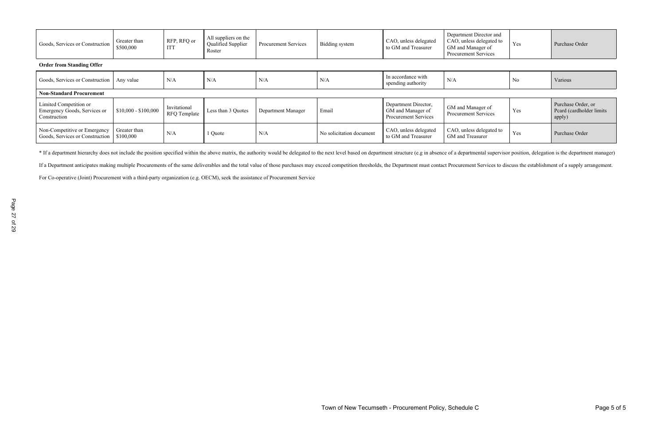| Goods, Services or Construction             | Greater than<br>\$500,000 | RFP, RFQ or<br>IT <sub>1</sub> | All suppliers on the<br><b>Qualified Supplier</b><br>Roster | <b>Procurement Services</b> | Bidding system | CAO, unless delegated<br>to GM and Treasurer | Department Director and<br>CAO, unless delegated to<br>  GM and Manager of<br><b>Procurement Services</b> | Yes            | Purchase Order |
|---------------------------------------------|---------------------------|--------------------------------|-------------------------------------------------------------|-----------------------------|----------------|----------------------------------------------|-----------------------------------------------------------------------------------------------------------|----------------|----------------|
| <b>Order from Standing Offer</b>            |                           |                                |                                                             |                             |                |                                              |                                                                                                           |                |                |
| Goods, Services or Construction   Any value |                           | N/A                            | N/A                                                         | N/A                         | N/A            | In accordance with<br>conding outbority      | N/A                                                                                                       | N <sub>0</sub> | Various        |

| Goods, Services or Construction                                        | Any value                 | N/A                          | N/A                | N/A                | N/A                      | In accordance with<br>spending authority                          | N/A                                              | N <sub>0</sub> | Various                                                  |
|------------------------------------------------------------------------|---------------------------|------------------------------|--------------------|--------------------|--------------------------|-------------------------------------------------------------------|--------------------------------------------------|----------------|----------------------------------------------------------|
| <b>Non-Standard Procurement</b>                                        |                           |                              |                    |                    |                          |                                                                   |                                                  |                |                                                          |
| Limited Competition or<br>Emergency Goods, Services or<br>Construction | $$10,000 - $100,000$      | Invitational<br>RFQ Template | Less than 3 Quotes | Department Manager | Email                    | Department Director,<br>GM and Manager of<br>Procurement Services | GM and Manager of<br><b>Procurement Services</b> | Yes            | Purchase Order, or<br>Peard (cardholder limits<br>apply) |
| Non-Competitive or Emergency<br>Goods, Services or Construction        | Greater than<br>\$100,000 | N/A                          | Quote              | N/A                | No solicitation document | CAO, unless delegated<br>to GM and Treasurer                      | CAO, unless delegated to<br>GM and Treasurer     | Yes            | Purchase Order                                           |

\* If a department hierarchy does not include the position specified within the above matrix, the authority would be delegated to the next level based on department structure (e.g in absence of a departmental supervisor pos

If a Department anticipates making multiple Procurements of the same deliverables and the total value of those purchases may exceed competition thresholds, the Department must contact Procurement Services to discuss the es

For Co-operative (Joint) Procurement with a third-party organization (e.g. OECM), seek the assistance of Procurement Service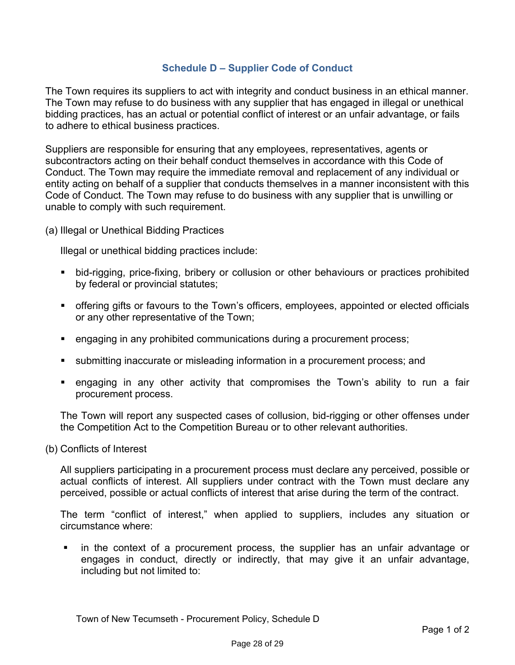## **Schedule D – Supplier Code of Conduct**

<span id="page-28-0"></span>The Town requires its suppliers to act with integrity and conduct business in an ethical manner. The Town may refuse to do business with any supplier that has engaged in illegal or unethical bidding practices, has an actual or potential conflict of interest or an unfair advantage, or fails to adhere to ethical business practices.

Suppliers are responsible for ensuring that any employees, representatives, agents or subcontractors acting on their behalf conduct themselves in accordance with this Code of Conduct. The Town may require the immediate removal and replacement of any individual or entity acting on behalf of a supplier that conducts themselves in a manner inconsistent with this Code of Conduct. The Town may refuse to do business with any supplier that is unwilling or unable to comply with such requirement.

(a) Illegal or Unethical Bidding Practices

Illegal or unethical bidding practices include:

- bid-rigging, price-fixing, bribery or collusion or other behaviours or practices prohibited by federal or provincial statutes;
- **•** offering gifts or favours to the Town's officers, employees, appointed or elected officials or any other representative of the Town;
- engaging in any prohibited communications during a procurement process;
- submitting inaccurate or misleading information in a procurement process; and
- engaging in any other activity that compromises the Town's ability to run a fair procurement process.

The Town will report any suspected cases of collusion, bid-rigging or other offenses under the Competition Act to the Competition Bureau or to other relevant authorities.

(b) Conflicts of Interest

All suppliers participating in a procurement process must declare any perceived, possible or actual conflicts of interest. All suppliers under contract with the Town must declare any perceived, possible or actual conflicts of interest that arise during the term of the contract.

The term "conflict of interest," when applied to suppliers, includes any situation or circumstance where:

■ in the context of a procurement process, the supplier has an unfair advantage or engages in conduct, directly or indirectly, that may give it an unfair advantage, including but not limited to: